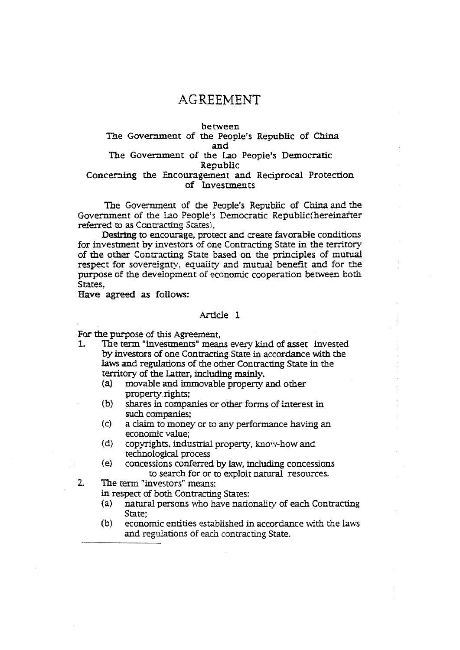# **AGREEMENT**

## between The Government of the People's Republic of China and The Government of the Lao People's Democratic Republic Concerning the Encouragement and Reciprocal Protection of Investments

The Government of the People's Republic of China and the Government of the Lao People's Democratic Republic(hereinafier referred to as Contracting States),

Desiring to encourage, protect and create favorable conditions for investment by investors of one Contracting State in the territory of the other Contracting State based on the principles of mutual respect for sovereignty. equality and mutual benefit and for the purpose of the development of economic cooperation between both States,

Have agreed as follows:

#### Article 1

For the purpose of this Agreement,<br>1. The term "investments" mean

- The term "investments" means every kind of asset invested by investors of one Contracting State in accordance with the laws and regulations of the other Contracting State in the territory of the Latter, including mainly.<br>(a) movable and immovable property
	- movable and immovable property and other property rights;
	- (b) shares in companies or other forms of interest in such companies;
	- (c) a claim to money or to any performance having an economic value;
	- (d) copyrights, industrial property, know-how and technological process
	- (e) concessions conferred by law, induding concessions to search for or to exploit natural resources.

2. The term 'investors" means:

in respect of both Contracting States:

- (a) natural persons who have nationality of each Contracting State;
- $(b)$  economic entities established in accordance with the laws and regulations of each contracting State.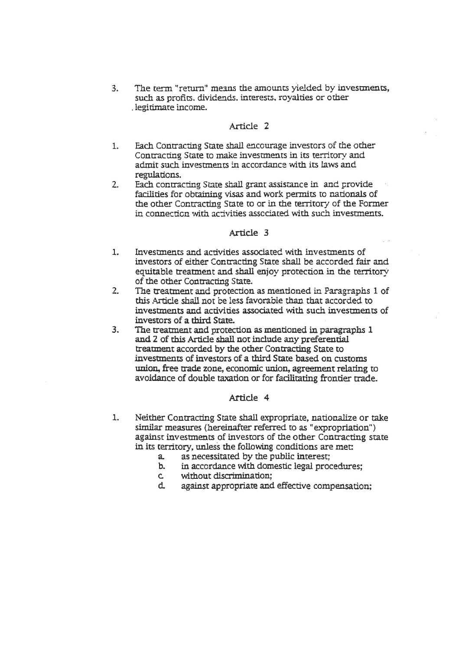3. The term "return" means the amounts yielded by investments, such as profits. dividends. interests. royalties or other . legitimate income.

## Article 2

- 1. Each Contracting State shall encourage investors of the other Contracting State to make investments in its territory and admit such investments in accordance with its laws and regulations.
- 2. Each contracting State shall grant assistance in and provide facilities for obtaining visas and work permits to nationals of the other Contracting State to or in the territory of the Former in connection with activities associated with such investments.

## Article 3

- 1. Investments and activities associated with investments of investors of either Contracting State shall be accorded fair and equitable treatment and shall enjoy protection in the territory of the other Contracting State.
- 2. The treatment and protection as mentioned in Paragraphs 1 of this Artide shall not be less favorable than that accorded to investments and activities associated with such investments of investors of a third State.
- 3. The treatment and protection as mentioned in paragraphs 1 and. *Z* of this Article shall not include any preferential treatment accorded by the other Contracting State to investments of investors of a third State based on customs union, free trade zone, economic union, agreement relating to avoidance of double taxation or for fadlitating frontier trade.

## Article 4

- 1. Neither Contracting State shall expropriate, nationalize or take similar measures (hereinafter referred to as "expropriation") against investments of investors of the other Contracting state in its territory. unless the following conditions are met:
	- a. as necessitated by the public interest;
	- b. in accordance with domestic legal procedures;
	- c. without discrimination;<br>d. against appropriate and
	- against appropriate and effective compensation;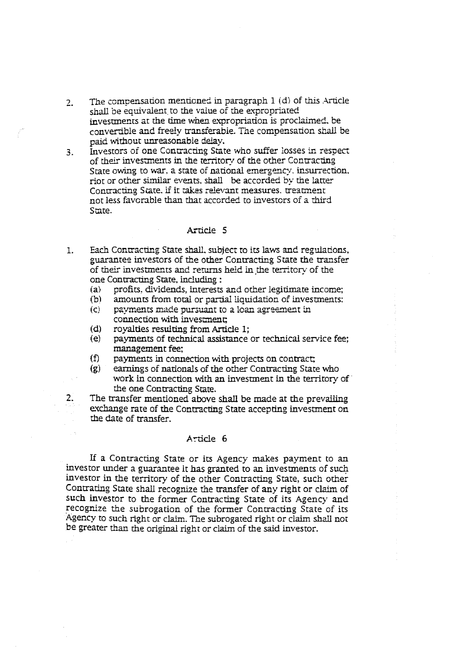- 2. The compensation mentioned in paragraph  $1$  (d) of this .Article shall be equivalent to the value of the expropriated investments at the time when expropriation is proclaimed, be convertible and freely transferabie. The compensation shall be paid without unreasonable delay.
- 3. Investors of one Contracting State who suffer losses in respect of their investments in the territory of the other Contracting State owing to war, a state of national emergency. insurrection. riot or other similar events. shall be accorded by the latter Contracting State. if it takes relevant measures. treatment not less favorable than that accorded to investors of a third State.

#### Article 5

- 1. Each Contracting State shall. subject to its laws and regulations, guarantee investors of the other Contracting State the transfer of their investments and rerurns held in ,the territory of the one Contracting State, including :<br>(a) profits, dividends, interests
	- profits, dividends, interests and other legitimate income;
	- $(b)$  amounts from total or partial liquidation of investments: (c) payments made pursuant to a loan agreement in
	- connection with investment;
	- (d) royalties resulting from Article 1;<br>(e) payments of technical assistance
	- payments of technical assistance or technical service fee; management fee:
	- $(f)$  payments in connection with projects on contract;
	- (g) earnings of nationals of the other Contracting State who work in connection with an investment in the territory of the one Contracting State.

2. The transfer mentioned above shall be made at the prevailing exchange rate of the Contracting State accepting investment on the date of transfer.

#### Article 6

If a Contracting State or its Agency makes payment to an investor under a guarantee it has granted to an investments of such mvestor in the territory of the other Contracting State, such other Contrating State shall recognize the transfer of any right or claim of such investor to the former Contracting State of its Agency and recognize the subrogation of the former Contracting State of its Agency to such right or claim. Tne subrogated right or claim shall not be greater than the original right or claim of the said investor.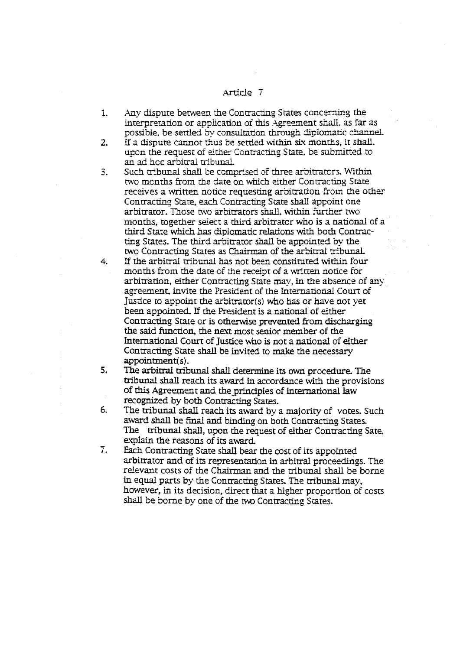## Article 7

- 1. Any dispute between the Contracting States concerning the interpretation or application of this Agreement shall, as far as possible, be settled by consuitation through dipiomatic channel.
- 2. If a dispute cannot thus be settled within six months, it shall. upon the request of either Contracting State, be submitted to an ad hec arbitral tribunal
- 3. Such tribunal shall be comprised of three arbitrators. Within two months from the date on which either Contracting State receives a written notice requesting arbitration from the other Contracting State, each Contracting State shall appoint one arbitrator. Those two arbitrators shall, within further two. months, together select a third arbitrator who is a national of a third State which has dipiomatic relations with both Contracting States. The third arbitrator shall be appointed by the two Contracting States as Chairman of the arbitral tribunal.
- 4. If the arbitral tribunal has not been constituted within four months from the date of the receipt of a written notice for arbitration, either Contracting State may, in the absence of any agreement, invite the President of the International Court of Justice to appoint the arbitrator(s) who has or have not yet been appointed. If the President is a national of either Contracting State or is otherwise prevented from discharging the said function, the next most senior member of the International Court of Justice who is not a national of elther Contracting State shall be invited to make the necessary appointment(s).
- 5. The arbitral tribunal shall determine its own procedure. The tribunal shall reach its award in accordance with the provisions of this Agreement and the principles of international law recognized by both Contracting States.
- 6. The tribunal shall reach its award by a majority of votes. Such award shall be final and binding on both Contracting States. The tribunal shall, upon the request of either Contracting Sate, explain the reasons of its award.
- 7. Each Contracting State shall bear the cost of its appointed arbitrator and of its representation in arbitral proceedings. The relevant costs of the Chairman and the tribunal shall be borne in equal parts by the Contracting States. The tribunal may, however, in its decision, direct that a higher proportion of costs shall be borne by one of the two Contracting States.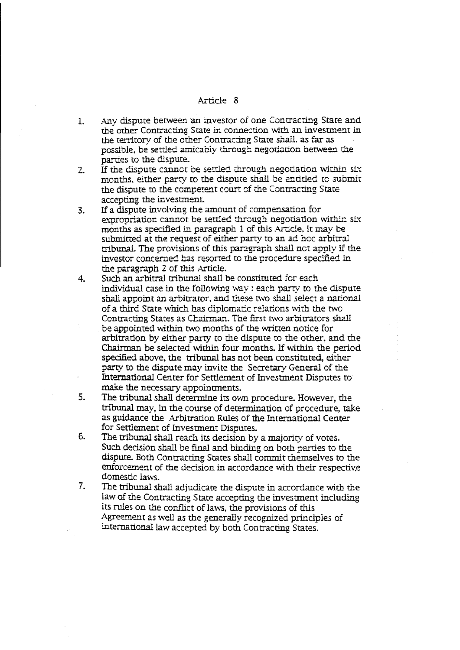#### Article 8

- L Any dispute between an investor of one Contracting State and the other Contracting State in connection with an investment in the territory of the other Contracting State shall, as far as possible, be settled amicably through negotiation between the parties to the dispute.
- 2. If the dispute cannot be settled through negotiation within six months, either party to the dispute shall be entitled to submit the dispute to the competent court of the Contracting State accepting the investment.
- 3. If a dispute involving the amount of compensation for expropriation cannot be settled through negotiation within six months as specified in paragraph 1 of this Article, it may be submitted at the request of either party to an ad hcc arbitral tribunaL The provisions of this paragraph shall net apply if the investor concerned has resorted to the procedure specified in the paragraph 2 of this Article.
- 4. Such an arbitral tribunal shall be constituted for each. individual case in the following way : each party to the dispute shall appoint an arbitrator, and these two shall select a national of a third State which has diplomatic relations with the two Contracting States as Chairman. The first two arbitrators shall be appointed within two months of the written notice for arbitration by either party to the dispute to the other, and the Chairman be selected within four months. If within the period specified above, the tribunal has not been constituted, either party to the dispute may invite the Secretary General of the fnternational Center for Settlement of Investment Disputes to make the necessary appointments.
- s. The tribunal shall determine its own procedure. However, the tribunal may, in the course of determination of procedure, take as guidance the Arbitration Rules of the International Center for Settlement of Investment Disputes.
- 6. The tribunal shall reach its decision by a majority of votes. Such decision shall be final and binding on both parties to the dispute. Both Contracting States shall commit themselves to the enforcement of the decision in accordance with their respective. domestic laws.
- 7. The tribunal shall adjudicate the dispute in accordance with the law of the Contracting State accepting the investment including its rules on the conflict of laws, the provisions of this Agreement as well as the generally recognized principles of international law accepted by both Contracting States.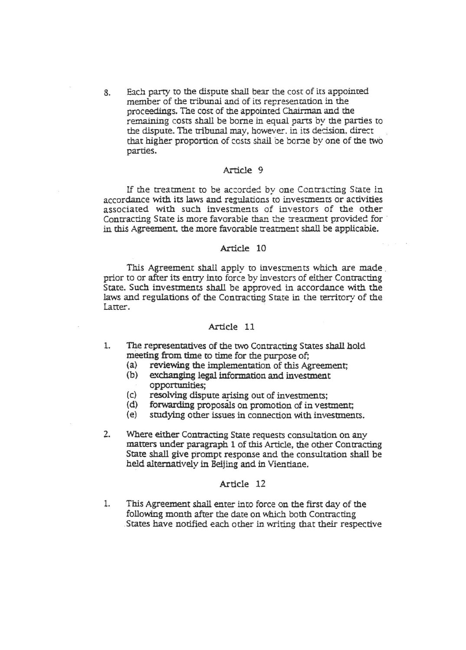8. Each party to the dispute shall bear the cost of its appointed member of the tribunal and of its representation in the proceedings. The cost of the appointed Chairman and the remaining costs shall be borne in equal parts by the parties to the dispute. The tribunal may, however, in its decision, direct that higher proportion of costs shail be bone by one of the two parties.

## Article 9

If the treatment to be accorded by one Contracting State in accordance with its laws and regulations to investments or activities associated with such investments of investors of the other Contracting State is more favorable than the treatment provided for in this Agreement, the more favorable treatment shall be applicable.

#### Article 10

This Agreement shall apply to investments which are made prior to or after its entry into force by investors of either Contracting State. Such invesnnents shall be approved in accordance with the laws and regulations of the Contracting State in the territory of the Latter.

## Article 11

- 1. The representatives of the two Contracting States shall hold meeting from time to time for the purpose of;<br>(a) reviewing the implementation of this Ag
	- (a) reviewing the implementation of this Agreement;<br>(b) exchanging legal information and investment
	- exchanging legal information and investment opportunities;
	- (c) resolving dispute arising out of investments;<br>(d) forwarding proposals on promotion of invest
	- (d) forwarding proposals on promotion of in vestment;<br>(e) studying other issues in connection with investment
	- studying other issues in connection with investments.
- 2. Where either Contracting State requests consultation on any matters under paragraph 1 of this Article, the other Contracting State shall give prompt response and the consultation shall be held alternatively in Beijing and in Vientiane.

#### Article 12

1. This Agreement shall enter into force on the first day of the following month after the date on which both Contracting .States have notified each other in writing that their respective